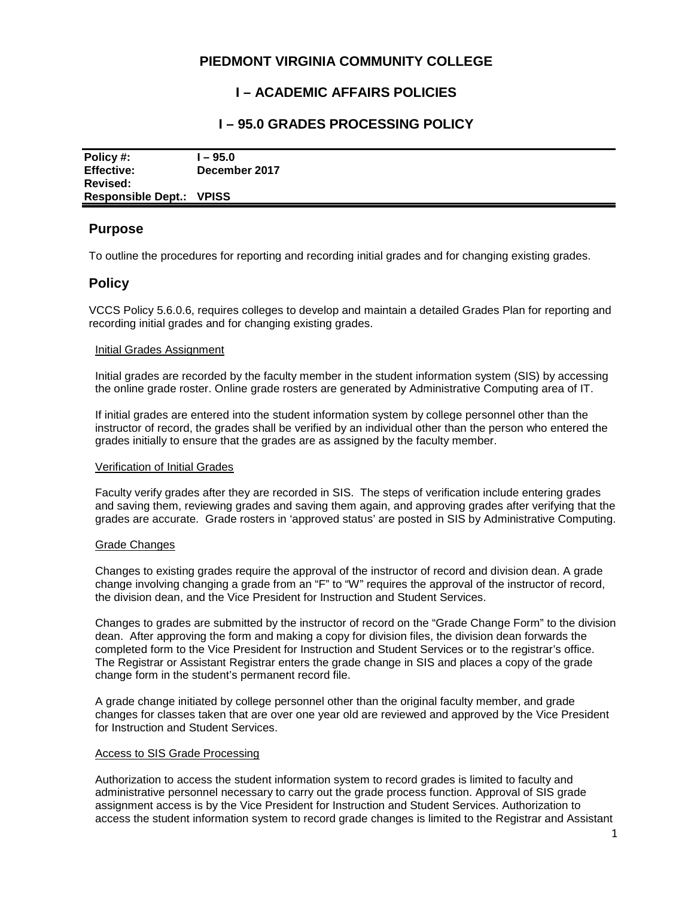# **PIEDMONT VIRGINIA COMMUNITY COLLEGE**

# **I – ACADEMIC AFFAIRS POLICIES**

## **I – 95.0 GRADES PROCESSING POLICY**

| Policy #:                            | $-95.0$       |
|--------------------------------------|---------------|
| <b>Effective:</b><br><b>Revised:</b> | December 2017 |
| <b>Responsible Dept.: VPISS</b>      |               |

### **Purpose**

To outline the procedures for reporting and recording initial grades and for changing existing grades.

## **Policy**

VCCS Policy 5.6.0.6, requires colleges to develop and maintain a detailed Grades Plan for reporting and recording initial grades and for changing existing grades.

### Initial Grades Assignment

Initial grades are recorded by the faculty member in the student information system (SIS) by accessing the online grade roster. Online grade rosters are generated by Administrative Computing area of IT.

If initial grades are entered into the student information system by college personnel other than the instructor of record, the grades shall be verified by an individual other than the person who entered the grades initially to ensure that the grades are as assigned by the faculty member.

#### Verification of Initial Grades

Faculty verify grades after they are recorded in SIS. The steps of verification include entering grades and saving them, reviewing grades and saving them again, and approving grades after verifying that the grades are accurate. Grade rosters in 'approved status' are posted in SIS by Administrative Computing.

#### Grade Changes

Changes to existing grades require the approval of the instructor of record and division dean. A grade change involving changing a grade from an "F" to "W" requires the approval of the instructor of record, the division dean, and the Vice President for Instruction and Student Services.

Changes to grades are submitted by the instructor of record on the "Grade Change Form" to the division dean. After approving the form and making a copy for division files, the division dean forwards the completed form to the Vice President for Instruction and Student Services or to the registrar's office. The Registrar or Assistant Registrar enters the grade change in SIS and places a copy of the grade change form in the student's permanent record file.

A grade change initiated by college personnel other than the original faculty member, and grade changes for classes taken that are over one year old are reviewed and approved by the Vice President for Instruction and Student Services.

#### Access to SIS Grade Processing

Authorization to access the student information system to record grades is limited to faculty and administrative personnel necessary to carry out the grade process function. Approval of SIS grade assignment access is by the Vice President for Instruction and Student Services. Authorization to access the student information system to record grade changes is limited to the Registrar and Assistant